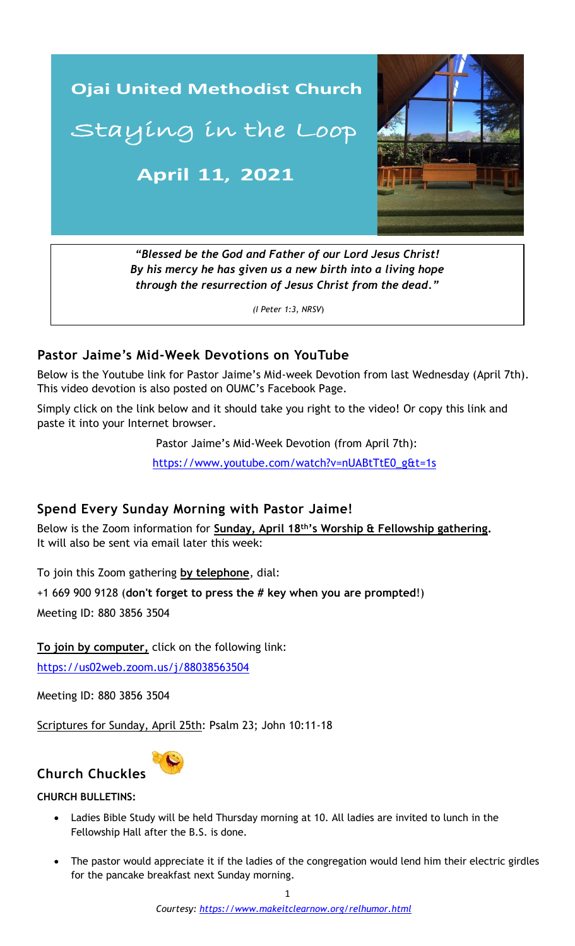

*By his mercy he has given us a new birth into a living hope through the resurrection of Jesus Christ from the dead."*

*(I Peter 1:3, NRSV*)

## **Pastor Jaime's Mid-Week Devotions on YouTube**

Below is the Youtube link for Pastor Jaime's Mid-week Devotion from last Wednesday (April 7th). This video devotion is also posted on OUMC's Facebook Page.

Simply click on the link below and it should take you right to the video! Or copy this link and paste it into your Internet browser.

Pastor Jaime's Mid-Week Devotion (from April 7th):

 [https://www.youtube.com/watch?v=nUABtTtE0\\_g&t=1s](https://www.youtube.com/watch?v=9a1adEVMI4U&t=6s)

# Spend Every Sunday Morning with Pastor Jaime!

Below is the Zoom information for **Sunday, April 18th's Worship & Fellowship gathering.** It will also be sent via email later this week:

To join this Zoom gathering **by telephone**, dial:

+1 669 900 9128 (**don't forget to press the # key when you are prompted**!)

Meeting ID: 880 3856 3504

**To join by computer,** click on the following link:

<https://us02web.zoom.us/j/88038563504>

Meeting ID: 880 3856 3504

Scriptures for Sunday, April 25th: Psalm 23; John 10:11-18



# **CHURCH BULLETINS:**

- Ladies Bible Study will be held Thursday morning at 10. All ladies are invited to lunch in the Fellowship Hall after the B.S. is done.
- The pastor would appreciate it if the ladies of the congregation would lend him their electric girdles for the pancake breakfast next Sunday morning.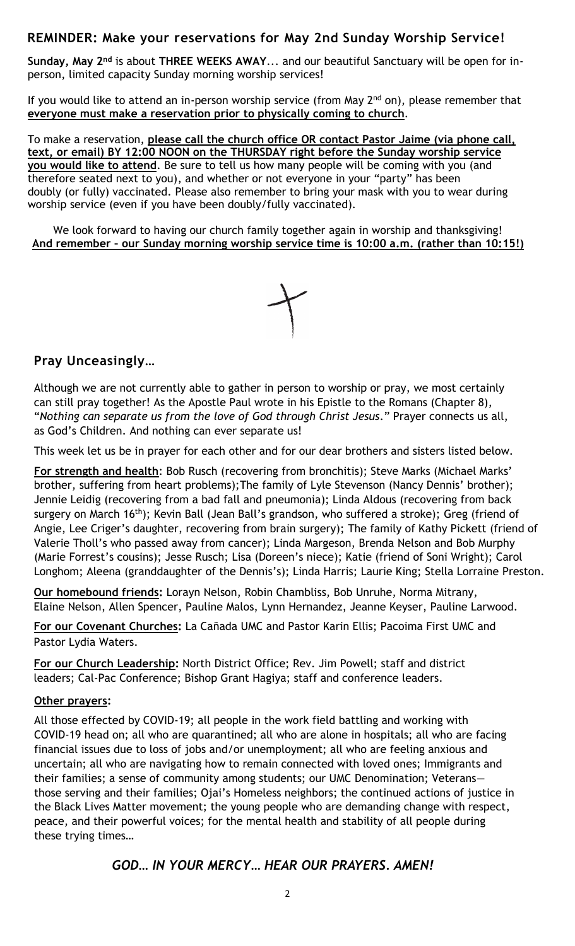# **REMINDER: Make your reservations for May 2nd Sunday Worship Service!**

**Sunday, May 2nd** is about **THREE WEEKS AWAY**... and our beautiful Sanctuary will be open for inperson, limited capacity Sunday morning worship services!

 **everyone must make a reservation prior to physically coming to church**. If you would like to attend an in-person worship service (from May  $2<sup>nd</sup>$  on), please remember that

To make a reservation, **please call the church office OR contact Pastor Jaime (via phone call, text, or email) BY 12:00 NOON on the THURSDAY right before the Sunday worship service you would like to attend**. Be sure to tell us how many people will be coming with you (and therefore seated next to you), and whether or not everyone in your "party" has been doubly (or fully) vaccinated. Please also remember to bring your mask with you to wear during worship service (even if you have been doubly/fully vaccinated).

We look forward to having our church family together again in worship and thanksgiving! **And remember – our Sunday morning worship service time is 10:00 a.m. (rather than 10:15!)**



# **Pray Unceasingly…**

Although we are not currently able to gather in person to worship or pray, we most certainly can still pray together! As the Apostle Paul wrote in his Epistle to the Romans (Chapter 8), "*Nothing can separate us from the love of God through Christ Jesus*." Prayer connects us all, as God's Children. And nothing can ever separate us!

This week let us be in prayer for each other and for our dear brothers and sisters listed below.

**For strength and health**: Bob Rusch (recovering from bronchitis); Steve Marks (Michael Marks' brother, suffering from heart problems);The family of Lyle Stevenson (Nancy Dennis' brother); Jennie Leidig (recovering from a bad fall and pneumonia); Linda Aldous (recovering from back surgery on March 16<sup>th</sup>); Kevin Ball (Jean Ball's grandson, who suffered a stroke); Greg (friend of Angie, Lee Criger's daughter, recovering from brain surgery); The family of Kathy Pickett (friend of Valerie Tholl's who passed away from cancer); Linda Margeson, Brenda Nelson and Bob Murphy (Marie Forrest's cousins); Jesse Rusch; Lisa (Doreen's niece); Katie (friend of Soni Wright); Carol Longhom; Aleena (granddaughter of the Dennis's); Linda Harris; Laurie King; Stella Lorraine Preston.

**Our homebound friends:** Lorayn Nelson, Robin Chambliss, Bob Unruhe, Norma Mitrany, Elaine Nelson, Allen Spencer, Pauline Malos, Lynn Hernandez, Jeanne Keyser, Pauline Larwood.

**For our Covenant Churches:** La Cañada UMC and Pastor Karin Ellis; Pacoima First UMC and Pastor Lydia Waters.

**For our Church Leadership:** North District Office; Rev. Jim Powell; staff and district leaders; Cal-Pac Conference; Bishop Grant Hagiya; staff and conference leaders.

#### **Other prayers:**

\_\_\_\_\_\_\_\_\_\_\_\_\_\_\_\_\_\_\_\_\_\_\_\_\_\_\_\_\_\_\_\_\_\_\_\_\_\_\_\_\_\_\_\_\_\_\_\_\_\_\_\_\_\_\_\_\_\_\_\_\_\_ uncertain; all who are navigating how to remain connected with loved ones; Immigrants and All those effected by COVID-19; all people in the work field battling and working with COVID-19 head on; all who are quarantined; all who are alone in hospitals; all who are facing financial issues due to loss of jobs and/or unemployment; all who are feeling anxious and their families; a sense of community among students; our UMC Denomination; Veterans those serving and their families; Ojai's Homeless neighbors; the continued actions of justice in the Black Lives Matter movement; the young people who are demanding change with respect, peace, and their powerful voices; for the mental health and stability of all people during these trying times…

## *GOD… IN YOUR MERCY… HEAR OUR PRAYERS. AMEN!*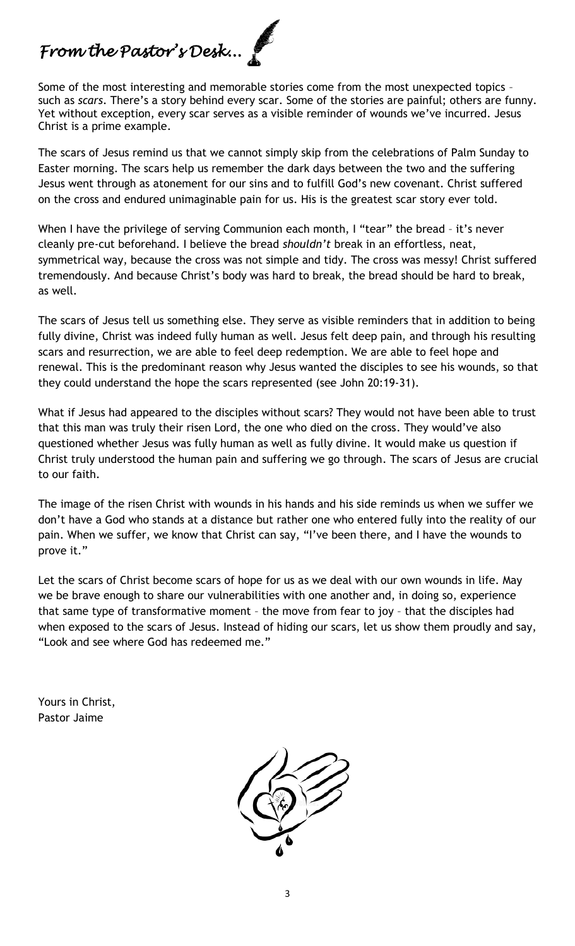# *From the Pastor's Desk...*

Some of the most interesting and memorable stories come from the most unexpected topics – such as *scars*. There's a story behind every scar. Some of the stories are painful; others are funny. Yet without exception, every scar serves as a visible reminder of wounds we've incurred. Jesus Christ is a prime example.

The scars of Jesus remind us that we cannot simply skip from the celebrations of Palm Sunday to Easter morning. The scars help us remember the dark days between the two and the suffering Jesus went through as atonement for our sins and to fulfill God's new covenant. Christ suffered on the cross and endured unimaginable pain for us. His is the greatest scar story ever told.

When I have the privilege of serving Communion each month, I "tear" the bread - it's never cleanly pre-cut beforehand. I believe the bread *shouldn't* break in an effortless, neat, symmetrical way, because the cross was not simple and tidy. The cross was messy! Christ suffered tremendously. And because Christ's body was hard to break, the bread should be hard to break, as well.

The scars of Jesus tell us something else. They serve as visible reminders that in addition to being fully divine, Christ was indeed fully human as well. Jesus felt deep pain, and through his resulting scars and resurrection, we are able to feel deep redemption. We are able to feel hope and renewal. This is the predominant reason why Jesus wanted the disciples to see his wounds, so that they could understand the hope the scars represented (see John 20:19-31).

What if Jesus had appeared to the disciples without scars? They would not have been able to trust that this man was truly their risen Lord, the one who died on the cross. They would've also questioned whether Jesus was fully human as well as fully divine. It would make us question if Christ truly understood the human pain and suffering we go through. The scars of Jesus are crucial to our faith.

The image of the risen Christ with wounds in his hands and his side reminds us when we suffer we don't have a God who stands at a distance but rather one who entered fully into the reality of our pain. When we suffer, we know that Christ can say, "I've been there, and I have the wounds to prove it."

Let the scars of Christ become scars of hope for us as we deal with our own wounds in life. May we be brave enough to share our vulnerabilities with one another and, in doing so, experience that same type of transformative moment – the move from fear to joy – that the disciples had when exposed to the scars of Jesus. Instead of hiding our scars, let us show them proudly and say, "Look and see where God has redeemed me."

Yours in Christ, Pastor Jaime